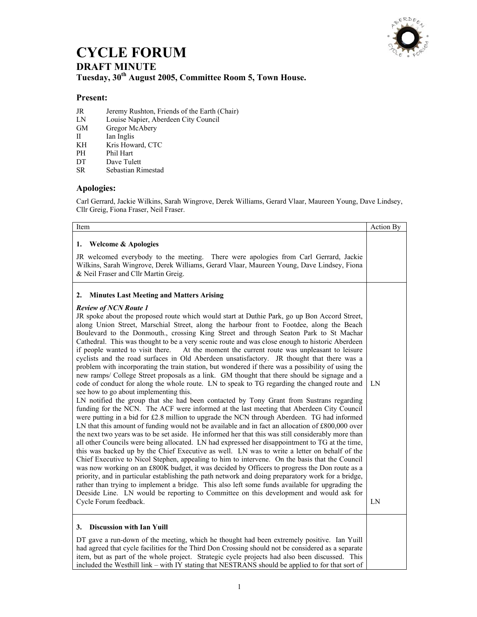

## **CYCLE FORUM DRAFT MINUTE Tuesday, 30th August 2005, Committee Room 5, Town House.**

## **Present:**

- JR Jeremy Rushton, Friends of the Earth (Chair)
- LN Louise Napier, Aberdeen City Council
- Gregor McAbery
- II Ian Inglis<br>
KH Kris How
- KH Kris Howard, CTC<br>
PH Phil Hart
- Phil Hart
- DT Dave Tulett<br>SR Sebastian Ri
- Sebastian Rimestad

## **Apologies:**

Carl Gerrard, Jackie Wilkins, Sarah Wingrove, Derek Williams, Gerard Vlaar, Maureen Young, Dave Lindsey, Cllr Greig, Fiona Fraser, Neil Fraser.

| Item                                                                                                                                                                                                                                                                                                                                                                                                                                                                                                                                                                                                                                                                                                                                                                                                                                                                                                                                                                                                                                                                                                                                                                                                                                                                                                                                                                                                                                                                                                                                                                                                                                                                                                                                                                                                                                                                                                                                                                                                                                                                                                                                                                                                                                                                                                         | <b>Action By</b> |
|--------------------------------------------------------------------------------------------------------------------------------------------------------------------------------------------------------------------------------------------------------------------------------------------------------------------------------------------------------------------------------------------------------------------------------------------------------------------------------------------------------------------------------------------------------------------------------------------------------------------------------------------------------------------------------------------------------------------------------------------------------------------------------------------------------------------------------------------------------------------------------------------------------------------------------------------------------------------------------------------------------------------------------------------------------------------------------------------------------------------------------------------------------------------------------------------------------------------------------------------------------------------------------------------------------------------------------------------------------------------------------------------------------------------------------------------------------------------------------------------------------------------------------------------------------------------------------------------------------------------------------------------------------------------------------------------------------------------------------------------------------------------------------------------------------------------------------------------------------------------------------------------------------------------------------------------------------------------------------------------------------------------------------------------------------------------------------------------------------------------------------------------------------------------------------------------------------------------------------------------------------------------------------------------------------------|------------------|
| <b>Welcome &amp; Apologies</b><br>1.<br>JR welcomed everybody to the meeting. There were apologies from Carl Gerrard, Jackie<br>Wilkins, Sarah Wingrove, Derek Williams, Gerard Vlaar, Maureen Young, Dave Lindsey, Fiona<br>& Neil Fraser and Cllr Martin Greig.                                                                                                                                                                                                                                                                                                                                                                                                                                                                                                                                                                                                                                                                                                                                                                                                                                                                                                                                                                                                                                                                                                                                                                                                                                                                                                                                                                                                                                                                                                                                                                                                                                                                                                                                                                                                                                                                                                                                                                                                                                            |                  |
| <b>Minutes Last Meeting and Matters Arising</b><br>2.<br><b>Review of NCN Route 1</b><br>JR spoke about the proposed route which would start at Duthie Park, go up Bon Accord Street,<br>along Union Street, Marschial Street, along the harbour front to Footdee, along the Beach<br>Boulevard to the Donmouth., crossing King Street and through Seaton Park to St Machar<br>Cathedral. This was thought to be a very scenic route and was close enough to historic Aberdeen<br>if people wanted to visit there.<br>At the moment the current route was unpleasant to leisure<br>cyclists and the road surfaces in Old Aberdeen unsatisfactory. JR thought that there was a<br>problem with incorporating the train station, but wondered if there was a possibility of using the<br>new ramps/ College Street proposals as a link. GM thought that there should be signage and a<br>code of conduct for along the whole route. LN to speak to TG regarding the changed route and<br>see how to go about implementing this.<br>LN notified the group that she had been contacted by Tony Grant from Sustrans regarding<br>funding for the NCN. The ACF were informed at the last meeting that Aberdeen City Council<br>were putting in a bid for £2.8 million to upgrade the NCN through Aberdeen. TG had informed<br>LN that this amount of funding would not be available and in fact an allocation of $£800,000$ over<br>the next two years was to be set aside. He informed her that this was still considerably more than<br>all other Councils were being allocated. LN had expressed her disappointment to TG at the time,<br>this was backed up by the Chief Executive as well. LN was to write a letter on behalf of the<br>Chief Executive to Nicol Stephen, appealing to him to intervene. On the basis that the Council<br>was now working on an £800K budget, it was decided by Officers to progress the Don route as a<br>priority, and in particular establishing the path network and doing preparatory work for a bridge,<br>rather than trying to implement a bridge. This also left some funds available for upgrading the<br>Deeside Line. LN would be reporting to Committee on this development and would ask for<br>Cycle Forum feedback.<br><b>Discussion with Ian Yuill</b><br>3. | LN<br>LN         |
| DT gave a run-down of the meeting, which he thought had been extremely positive. Ian Yuill<br>had agreed that cycle facilities for the Third Don Crossing should not be considered as a separate<br>item, but as part of the whole project. Strategic cycle projects had also been discussed. This                                                                                                                                                                                                                                                                                                                                                                                                                                                                                                                                                                                                                                                                                                                                                                                                                                                                                                                                                                                                                                                                                                                                                                                                                                                                                                                                                                                                                                                                                                                                                                                                                                                                                                                                                                                                                                                                                                                                                                                                           |                  |

included the Westhill link – with IY stating that NESTRANS should be applied to for that sort of